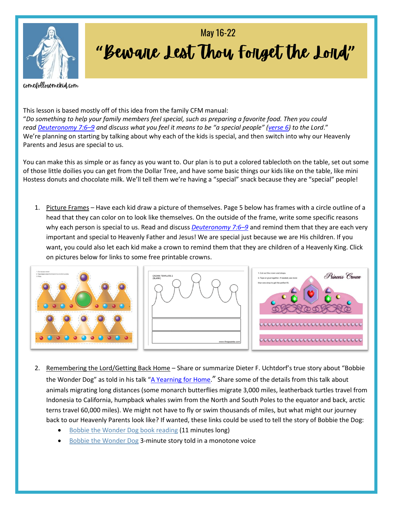

## **" "** May 16-22

## comefollowmekid.com

This lesson is based mostly off of this idea from the family CFM manual: "*Do something to help your family members feel special, such as preparing a favorite food. Then you could read [Deuteronomy](https://www.churchofjesuschrist.org/study/scriptures/ot/deut/7.6-9?lang=eng#p6) 7:6–9 and discuss what you feel it means to be "a special people" ([verse](https://www.churchofjesuschrist.org/study/scriptures/ot/deut/7.6?lang=eng#p6) 6) to the Lord*." We're planning on starting by talking about why each of the kids is special, and then switch into why our Heavenly Parents and Jesus are special to us.

You can make this as simple or as fancy as you want to. Our plan is to put a colored tablecloth on the table, set out some of those little doilies you can get from the Dollar Tree, and have some basic things our kids like on the table, like mini Hostess donuts and chocolate milk. We'll tell them we're having a "special" snack because they are "special" people!

1. Picture Frames – Have each kid draw a picture of themselves. Page 5 below has frames with a circle outline of a head that they can color on to look like themselves. On the outside of the frame, write some specific reasons why each person is special to us. Read and discuss *[Deuteronomy](https://www.churchofjesuschrist.org/study/scriptures/ot/deut/7.6-9?lang=eng#p6) 7:6–9* and remind them that they are each very important and special to Heavenly Father and Jesus! We are special just because we are His children. If you want, you could also let each kid make a crown to remind them that they are children of a Heavenly King. Click on pictures below for links to some free printable crowns.



- 2. Remembering the Lord/Getting Back Home Share or summarize Dieter F. Uchtdorf's true story about "Bobbie the Wonder Dog" as told in his talk "A [Yearning](https://www.churchofjesuschrist.org/study/general-conference/2017/10/a-yearning-for-home?lang=eng) for Home." Share some of the details from this talk about animals migrating long distances (some monarch butterflies migrate 3,000 miles, leatherback turtles travel from Indonesia to California, humpback whales swim from the North and South Poles to the equator and back, arctic terns travel 60,000 miles). We might not have to fly or swim thousands of miles, but what might our journey back to our Heavenly Parents look like? If wanted, these links could be used to tell the story of Bobbie the Dog:
	- [Bobbie the Wonder Dog book reading](https://www.youtube.com/watch?v=yaEkem2ogDc) (11 minutes long)
	- [Bobbie the Wonder Dog](https://www.youtube.com/watch?v=Rad7VC45k6Y) 3-minute story told in a monotone voice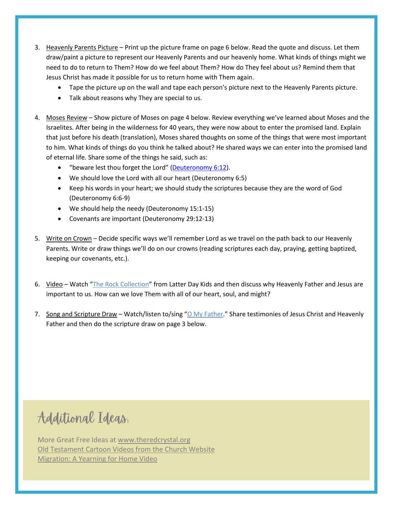- 3. Heavenly Parents Picture Print up the picture frame on page 6 below. Read the quote and discuss. Let them draw/paint a picture to represent our Heavenly Parents and our heavenly home. What kinds of things might we need to do to return to Them? How do we feel about Them? How do They feel about us? Remind them that Jesus Christ has made it possible for us to return home with Them again.
	- Tape the picture up on the wall and tape each person's picture next to the Heavenly Parents picture.
	- Talk about reasons why They are special to us.
- 4. Moses Review Show picture of Moses on page 4 below. Review everything we've learned about Moses and the Israelites. After being in the wilderness for 40 years, they were now about to enter the promised land. Explain that just before his death (translation), Moses shared thoughts on some of the things that were most important to him. What kinds of things do you think he talked about? He shared ways we can enter into the promised land of eternal life. Share some of the things he said, such as:
	- "beware lest thou forget the Lord" [\(Deuteronomy](https://www.churchofjesuschrist.org/study/scriptures/ot/deut/6.12?lang=eng#p12) 6:12).
	- We should love the Lord with all our heart (Deuteronomy 6:5)
	- Keep his words in your heart; we should study the scriptures because they are the word of God (Deuteronomy 6:6-9)
	- We should help the needy (Deuteronomy 15:1-15)
	- Covenants are important (Deuteronomy 29:12-13)
- 5. Write on Crown Decide specific ways we'll remember Lord as we travel on the path back to our Heavenly Parents. Write or draw things we'll do on our crowns (reading scriptures each day, praying, getting baptized, keeping our covenants, etc.).
- 6. Video Watch "[The Rock Collection](https://www.youtube.com/watch?v=316VC9Y1a_0)" from Latter Day Kids and then discuss why Heavenly Father and Jesus are important to us. How can we love Them with all of our heart, soul, and might?
- 7. Song and Scripture Draw Watch/listen to/sing "[O My Father.](https://www.youtube.com/watch?v=5BPhqizBkg0)" Share testimonies of Jesus Christ and Heavenly Father and then do the scripture draw on page 3 below.

Additional Ideas.

More Great Free Ideas at [www.theredcrystal.org](http://www.theredcrystal.org/) [Old Testament Cartoon Videos from the Church Website](https://www.churchofjesuschrist.org/study/manual/old-testament-stories-2022?lang=eng) [Migration: A Yearning for Home Video](https://www.youtube.com/watch?v=_8BKrAzkr8c)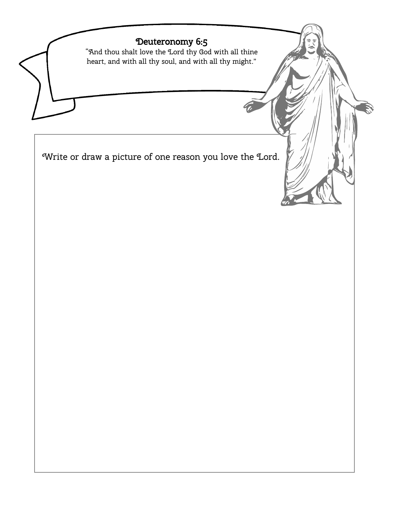## Deuteronomy 6:5 "And thou shalt love the Lord thy God with all thine heart, and with all thy soul, and with all thy might." Write or draw a picture of one reason you love the Lord.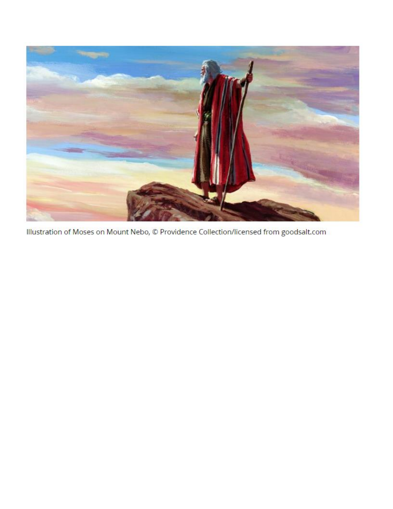

Illustration of Moses on Mount Nebo, © Providence Collection/licensed from goodsalt.com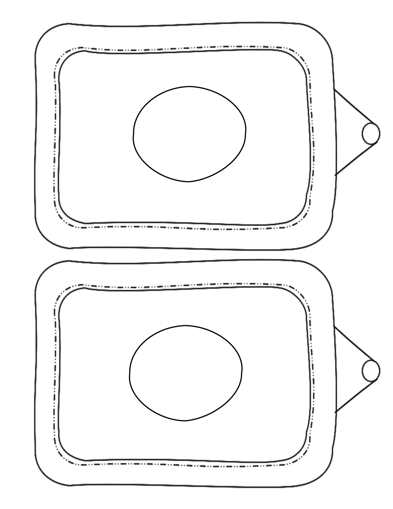